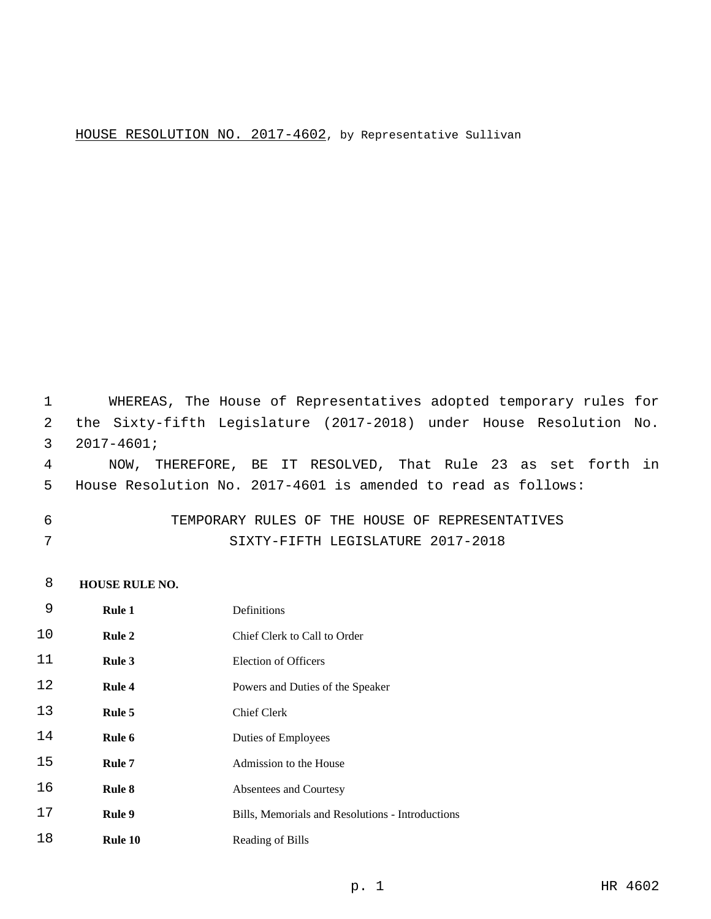## HOUSE RESOLUTION NO. 2017-4602, by Representative Sullivan

 WHEREAS, The House of Representatives adopted temporary rules for the Sixty-fifth Legislature (2017-2018) under House Resolution No.  $2017-4601;$  NOW, THEREFORE, BE IT RESOLVED, That Rule 23 as set forth in House Resolution No. 2017-4601 is amended to read as follows:

 TEMPORARY RULES OF THE HOUSE OF REPRESENTATIVES SIXTY-FIFTH LEGISLATURE 2017-2018

#### **HOUSE RULE NO.**

| 9  | <b>Rule 1</b> | Definitions                                      |
|----|---------------|--------------------------------------------------|
| 10 | <b>Rule 2</b> | Chief Clerk to Call to Order                     |
| 11 | Rule 3        | <b>Election of Officers</b>                      |
| 12 | Rule 4        | Powers and Duties of the Speaker                 |
| 13 | Rule 5        | <b>Chief Clerk</b>                               |
| 14 | Rule 6        | Duties of Employees                              |
| 15 | Rule 7        | Admission to the House                           |
| 16 | Rule 8        | Absentees and Courtesy                           |
| 17 | Rule 9        | Bills, Memorials and Resolutions - Introductions |
| 18 | Rule 10       | Reading of Bills                                 |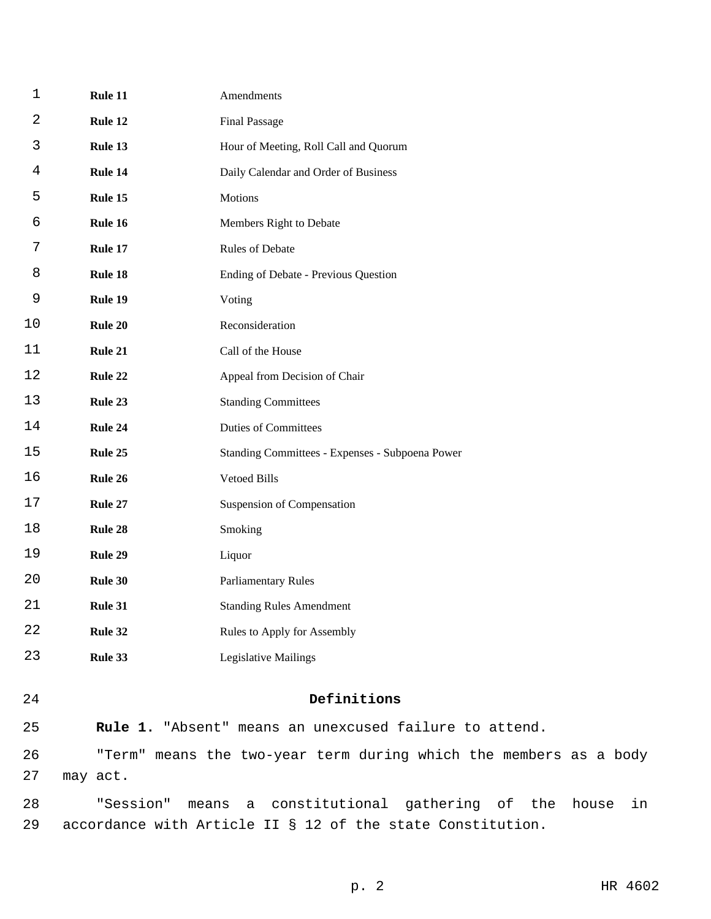| $\mathbf 1$ | Rule 11   | Amendments                                                        |
|-------------|-----------|-------------------------------------------------------------------|
| 2           | Rule 12   | <b>Final Passage</b>                                              |
| 3           | Rule 13   | Hour of Meeting, Roll Call and Quorum                             |
| 4           | Rule 14   | Daily Calendar and Order of Business                              |
| 5           | Rule 15   | Motions                                                           |
| 6           | Rule 16   | Members Right to Debate                                           |
| 7           | Rule 17   | Rules of Debate                                                   |
| 8           | Rule 18   | Ending of Debate - Previous Question                              |
| 9           | Rule 19   | Voting                                                            |
| 10          | Rule 20   | Reconsideration                                                   |
| 11          | Rule 21   | Call of the House                                                 |
| 12          | Rule 22   | Appeal from Decision of Chair                                     |
| 13          | Rule 23   | <b>Standing Committees</b>                                        |
| 14          | Rule 24   | <b>Duties of Committees</b>                                       |
| 15          | Rule 25   | Standing Committees - Expenses - Subpoena Power                   |
| 16          | Rule 26   | Vetoed Bills                                                      |
| 17          | Rule 27   | Suspension of Compensation                                        |
| 18          | Rule 28   | Smoking                                                           |
| 19          | Rule 29   | Liquor                                                            |
| 20          | Rule 30   | <b>Parliamentary Rules</b>                                        |
| 21          | Rule 31   | <b>Standing Rules Amendment</b>                                   |
| 22          | Rule 32   | Rules to Apply for Assembly                                       |
| 23          | Rule 33   | <b>Legislative Mailings</b>                                       |
| 24          |           | Definitions                                                       |
|             |           |                                                                   |
| 25          |           | Rule 1. "Absent" means an unexcused failure to attend.            |
| 26<br>27    | may act.  | "Term" means the two-year term during which the members as a body |
| 28          | "Session" | means a constitutional gathering of the house<br>in               |
| 29          |           | accordance with Article II § 12 of the state Constitution.        |

p. 2 HR 4602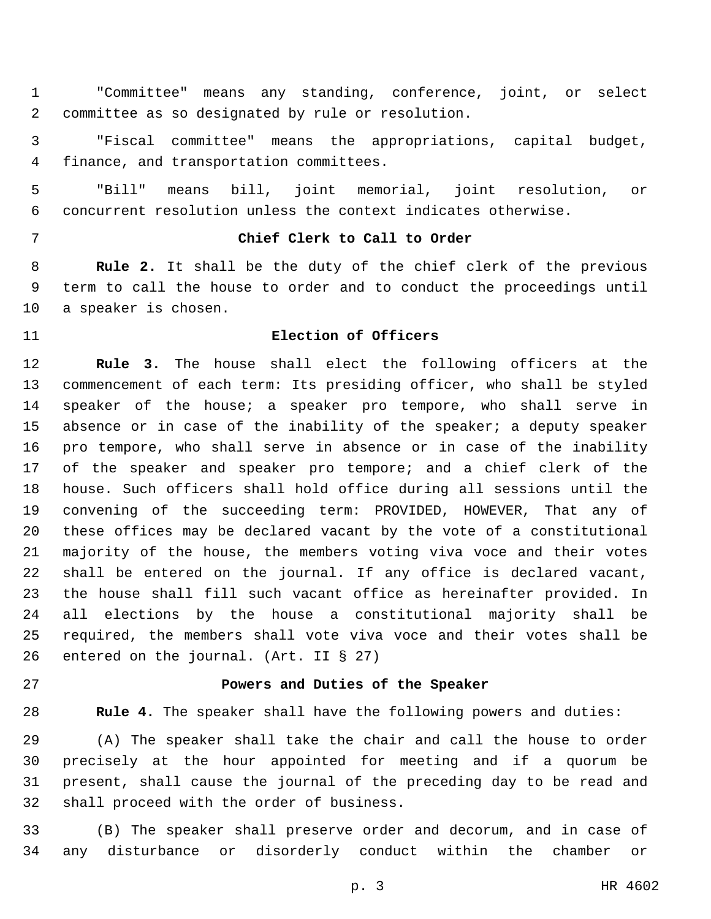"Committee" means any standing, conference, joint, or select committee as so designated by rule or resolution.2

 "Fiscal committee" means the appropriations, capital budget, 4 finance, and transportation committees.

 "Bill" means bill, joint memorial, joint resolution, or concurrent resolution unless the context indicates otherwise.

# **Chief Clerk to Call to Order**

 **Rule 2.** It shall be the duty of the chief clerk of the previous term to call the house to order and to conduct the proceedings until 10 a speaker is chosen.

# **Election of Officers**

 **Rule 3.** The house shall elect the following officers at the commencement of each term: Its presiding officer, who shall be styled speaker of the house; a speaker pro tempore, who shall serve in absence or in case of the inability of the speaker; a deputy speaker pro tempore, who shall serve in absence or in case of the inability of the speaker and speaker pro tempore; and a chief clerk of the house. Such officers shall hold office during all sessions until the convening of the succeeding term: PROVIDED, HOWEVER, That any of these offices may be declared vacant by the vote of a constitutional majority of the house, the members voting viva voce and their votes shall be entered on the journal. If any office is declared vacant, the house shall fill such vacant office as hereinafter provided. In all elections by the house a constitutional majority shall be required, the members shall vote viva voce and their votes shall be 26 entered on the journal. (Art. II  $\S$  27)

## **Powers and Duties of the Speaker**

**Rule 4.** The speaker shall have the following powers and duties:

 (A) The speaker shall take the chair and call the house to order precisely at the hour appointed for meeting and if a quorum be present, shall cause the journal of the preceding day to be read and 32 shall proceed with the order of business.

 (B) The speaker shall preserve order and decorum, and in case of any disturbance or disorderly conduct within the chamber or

p. 3 HR 4602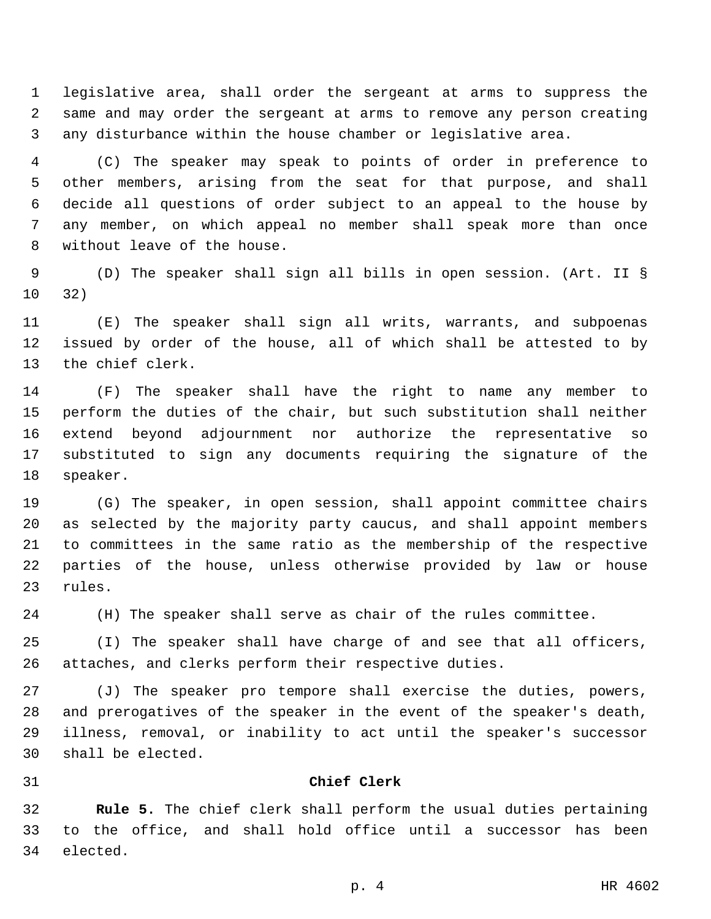legislative area, shall order the sergeant at arms to suppress the same and may order the sergeant at arms to remove any person creating any disturbance within the house chamber or legislative area.

 (C) The speaker may speak to points of order in preference to other members, arising from the seat for that purpose, and shall decide all questions of order subject to an appeal to the house by any member, on which appeal no member shall speak more than once 8 without leave of the house.

 (D) The speaker shall sign all bills in open session. (Art. II § 32)

 (E) The speaker shall sign all writs, warrants, and subpoenas issued by order of the house, all of which shall be attested to by 13 the chief clerk.

 (F) The speaker shall have the right to name any member to perform the duties of the chair, but such substitution shall neither extend beyond adjournment nor authorize the representative so substituted to sign any documents requiring the signature of the 18 speaker.

 (G) The speaker, in open session, shall appoint committee chairs as selected by the majority party caucus, and shall appoint members to committees in the same ratio as the membership of the respective parties of the house, unless otherwise provided by law or house 23 rules.

(H) The speaker shall serve as chair of the rules committee.

 (I) The speaker shall have charge of and see that all officers, attaches, and clerks perform their respective duties.

 (J) The speaker pro tempore shall exercise the duties, powers, and prerogatives of the speaker in the event of the speaker's death, illness, removal, or inability to act until the speaker's successor shall be elected.30

#### **Chief Clerk**

 **Rule 5.** The chief clerk shall perform the usual duties pertaining to the office, and shall hold office until a successor has been 34 elected.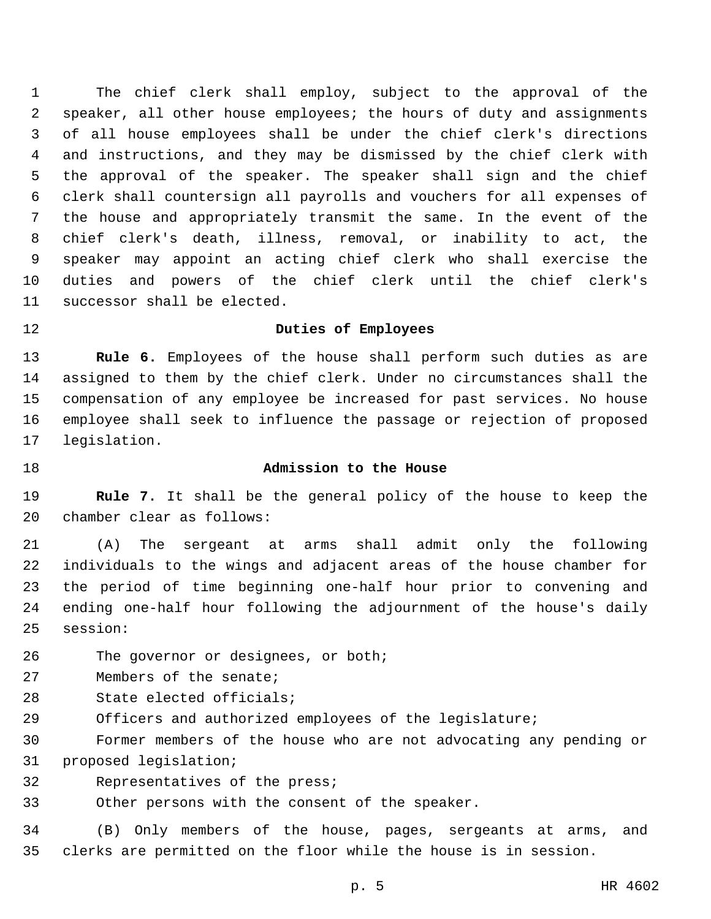The chief clerk shall employ, subject to the approval of the speaker, all other house employees; the hours of duty and assignments of all house employees shall be under the chief clerk's directions and instructions, and they may be dismissed by the chief clerk with the approval of the speaker. The speaker shall sign and the chief clerk shall countersign all payrolls and vouchers for all expenses of the house and appropriately transmit the same. In the event of the chief clerk's death, illness, removal, or inability to act, the speaker may appoint an acting chief clerk who shall exercise the duties and powers of the chief clerk until the chief clerk's 11 successor shall be elected.

## **Duties of Employees**

 **Rule 6.** Employees of the house shall perform such duties as are assigned to them by the chief clerk. Under no circumstances shall the compensation of any employee be increased for past services. No house employee shall seek to influence the passage or rejection of proposed 17 legislation.

## **Admission to the House**

 **Rule 7.** It shall be the general policy of the house to keep the 20 chamber clear as follows:

 (A) The sergeant at arms shall admit only the following individuals to the wings and adjacent areas of the house chamber for the period of time beginning one-half hour prior to convening and ending one-half hour following the adjournment of the house's daily 25 session:

26 The governor or designees, or both;

27 Members of the senate;

28 State elected officials;

Officers and authorized employees of the legislature;

 Former members of the house who are not advocating any pending or 31 proposed legislation;

32 Representatives of the press;

Other persons with the consent of the speaker.

 (B) Only members of the house, pages, sergeants at arms, and clerks are permitted on the floor while the house is in session.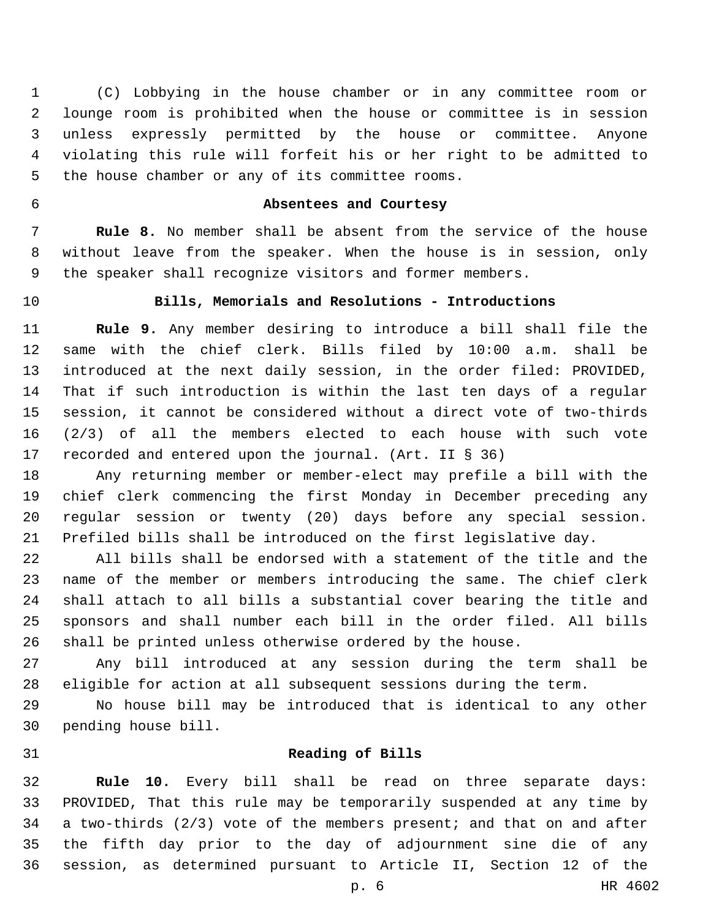(C) Lobbying in the house chamber or in any committee room or lounge room is prohibited when the house or committee is in session unless expressly permitted by the house or committee. Anyone violating this rule will forfeit his or her right to be admitted to 5 the house chamber or any of its committee rooms.

# **Absentees and Courtesy**

 **Rule 8.** No member shall be absent from the service of the house without leave from the speaker. When the house is in session, only the speaker shall recognize visitors and former members.

# **Bills, Memorials and Resolutions - Introductions**

 **Rule 9.** Any member desiring to introduce a bill shall file the same with the chief clerk. Bills filed by 10:00 a.m. shall be introduced at the next daily session, in the order filed: PROVIDED, That if such introduction is within the last ten days of a regular session, it cannot be considered without a direct vote of two-thirds (2/3) of all the members elected to each house with such vote recorded and entered upon the journal. (Art. II § 36)

 Any returning member or member-elect may prefile a bill with the chief clerk commencing the first Monday in December preceding any regular session or twenty (20) days before any special session. Prefiled bills shall be introduced on the first legislative day.

 All bills shall be endorsed with a statement of the title and the name of the member or members introducing the same. The chief clerk shall attach to all bills a substantial cover bearing the title and sponsors and shall number each bill in the order filed. All bills shall be printed unless otherwise ordered by the house.

 Any bill introduced at any session during the term shall be eligible for action at all subsequent sessions during the term.

 No house bill may be introduced that is identical to any other 30 pending house bill.

#### **Reading of Bills**

 **Rule 10.** Every bill shall be read on three separate days: PROVIDED, That this rule may be temporarily suspended at any time by a two-thirds (2/3) vote of the members present; and that on and after the fifth day prior to the day of adjournment sine die of any session, as determined pursuant to Article II, Section 12 of the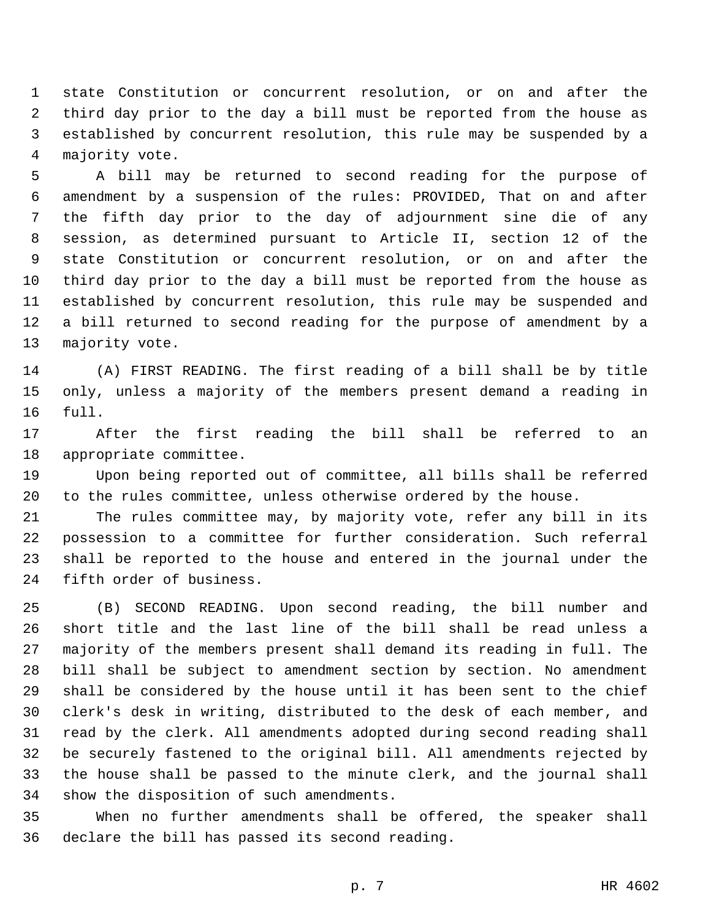state Constitution or concurrent resolution, or on and after the third day prior to the day a bill must be reported from the house as established by concurrent resolution, this rule may be suspended by a 4 majority vote.

 A bill may be returned to second reading for the purpose of amendment by a suspension of the rules: PROVIDED, That on and after the fifth day prior to the day of adjournment sine die of any session, as determined pursuant to Article II, section 12 of the state Constitution or concurrent resolution, or on and after the third day prior to the day a bill must be reported from the house as established by concurrent resolution, this rule may be suspended and a bill returned to second reading for the purpose of amendment by a 13 majority vote.

 (A) FIRST READING. The first reading of a bill shall be by title only, unless a majority of the members present demand a reading in 16 full.

 After the first reading the bill shall be referred to an 18 appropriate committee.

 Upon being reported out of committee, all bills shall be referred to the rules committee, unless otherwise ordered by the house.

 The rules committee may, by majority vote, refer any bill in its possession to a committee for further consideration. Such referral shall be reported to the house and entered in the journal under the 24 fifth order of business.

 (B) SECOND READING. Upon second reading, the bill number and short title and the last line of the bill shall be read unless a majority of the members present shall demand its reading in full. The bill shall be subject to amendment section by section. No amendment shall be considered by the house until it has been sent to the chief clerk's desk in writing, distributed to the desk of each member, and read by the clerk. All amendments adopted during second reading shall be securely fastened to the original bill. All amendments rejected by the house shall be passed to the minute clerk, and the journal shall 34 show the disposition of such amendments.

 When no further amendments shall be offered, the speaker shall 36 declare the bill has passed its second reading.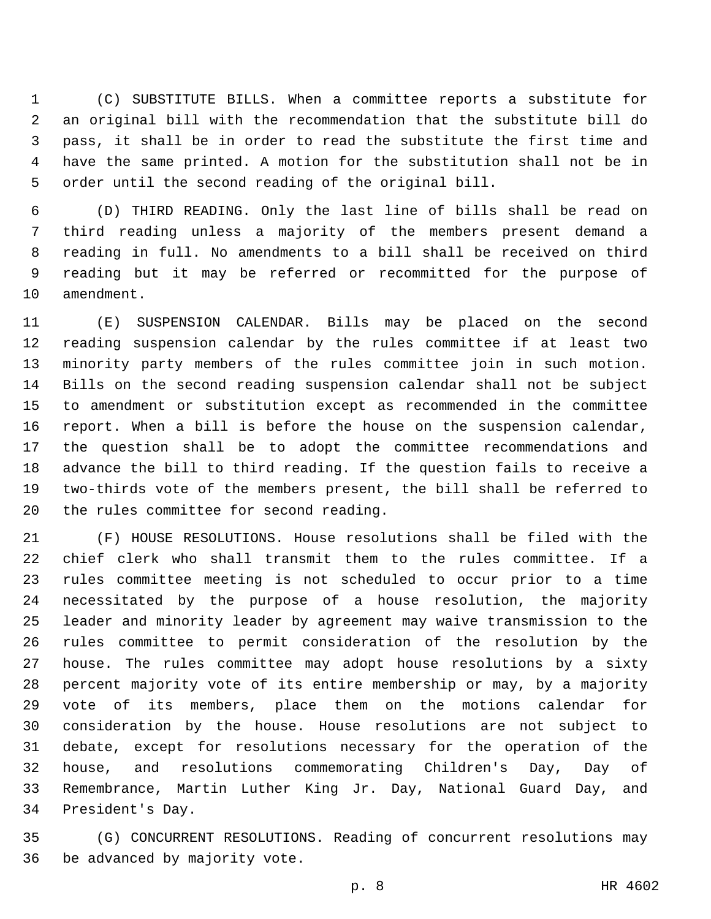(C) SUBSTITUTE BILLS. When a committee reports a substitute for an original bill with the recommendation that the substitute bill do pass, it shall be in order to read the substitute the first time and have the same printed. A motion for the substitution shall not be in order until the second reading of the original bill.

 (D) THIRD READING. Only the last line of bills shall be read on third reading unless a majority of the members present demand a reading in full. No amendments to a bill shall be received on third reading but it may be referred or recommitted for the purpose of 10 amendment.

 (E) SUSPENSION CALENDAR. Bills may be placed on the second reading suspension calendar by the rules committee if at least two minority party members of the rules committee join in such motion. Bills on the second reading suspension calendar shall not be subject to amendment or substitution except as recommended in the committee report. When a bill is before the house on the suspension calendar, the question shall be to adopt the committee recommendations and advance the bill to third reading. If the question fails to receive a two-thirds vote of the members present, the bill shall be referred to 20 the rules committee for second reading.

 (F) HOUSE RESOLUTIONS. House resolutions shall be filed with the chief clerk who shall transmit them to the rules committee. If a rules committee meeting is not scheduled to occur prior to a time necessitated by the purpose of a house resolution, the majority leader and minority leader by agreement may waive transmission to the rules committee to permit consideration of the resolution by the house. The rules committee may adopt house resolutions by a sixty percent majority vote of its entire membership or may, by a majority vote of its members, place them on the motions calendar for consideration by the house. House resolutions are not subject to debate, except for resolutions necessary for the operation of the house, and resolutions commemorating Children's Day, Day of Remembrance, Martin Luther King Jr. Day, National Guard Day, and 34 President's Day.

 (G) CONCURRENT RESOLUTIONS. Reading of concurrent resolutions may 36 be advanced by majority vote.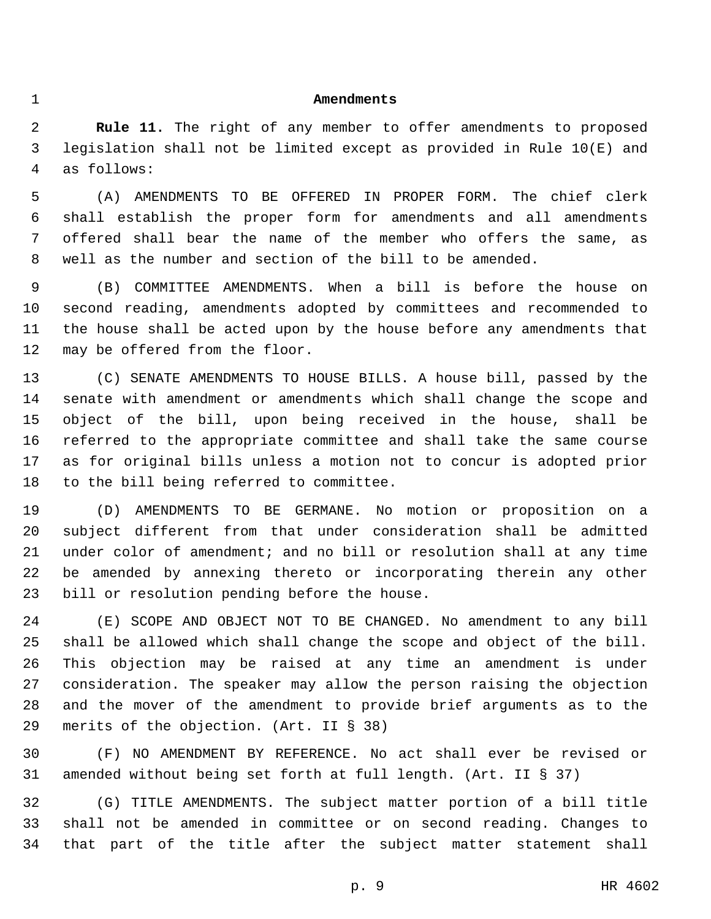#### **Amendments**

 **Rule 11.** The right of any member to offer amendments to proposed legislation shall not be limited except as provided in Rule 10(E) and as follows:4

 (A) AMENDMENTS TO BE OFFERED IN PROPER FORM. The chief clerk shall establish the proper form for amendments and all amendments offered shall bear the name of the member who offers the same, as well as the number and section of the bill to be amended.

 (B) COMMITTEE AMENDMENTS. When a bill is before the house on second reading, amendments adopted by committees and recommended to the house shall be acted upon by the house before any amendments that 12 may be offered from the floor.

 (C) SENATE AMENDMENTS TO HOUSE BILLS. A house bill, passed by the senate with amendment or amendments which shall change the scope and object of the bill, upon being received in the house, shall be referred to the appropriate committee and shall take the same course as for original bills unless a motion not to concur is adopted prior 18 to the bill being referred to committee.

 (D) AMENDMENTS TO BE GERMANE. No motion or proposition on a subject different from that under consideration shall be admitted under color of amendment; and no bill or resolution shall at any time be amended by annexing thereto or incorporating therein any other 23 bill or resolution pending before the house.

 (E) SCOPE AND OBJECT NOT TO BE CHANGED. No amendment to any bill shall be allowed which shall change the scope and object of the bill. This objection may be raised at any time an amendment is under consideration. The speaker may allow the person raising the objection and the mover of the amendment to provide brief arguments as to the 29 merits of the objection. (Art. II § 38)

 (F) NO AMENDMENT BY REFERENCE. No act shall ever be revised or amended without being set forth at full length. (Art. II § 37)

 (G) TITLE AMENDMENTS. The subject matter portion of a bill title shall not be amended in committee or on second reading. Changes to that part of the title after the subject matter statement shall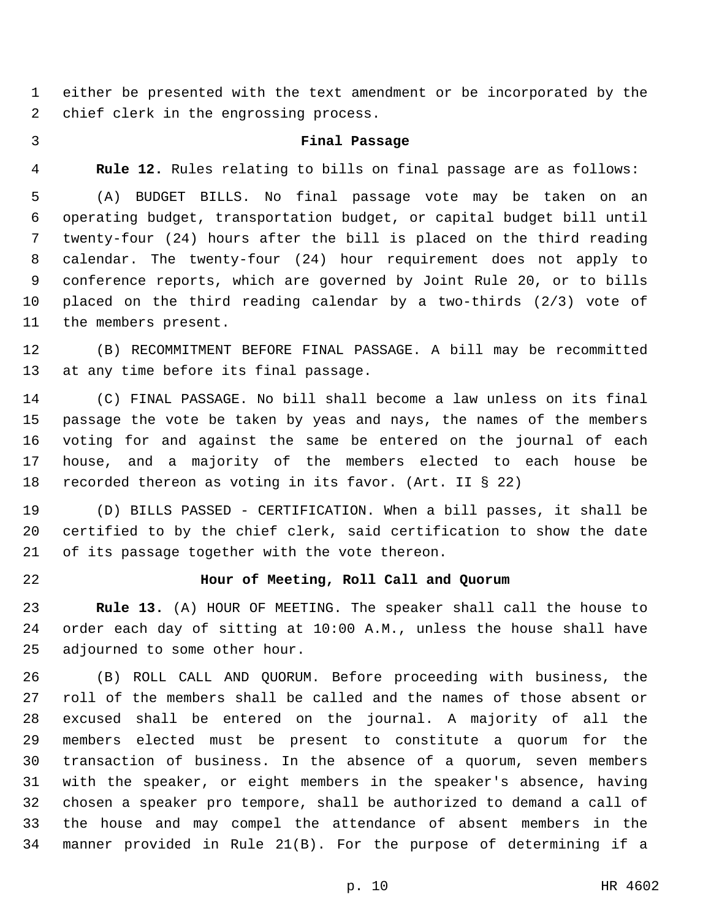either be presented with the text amendment or be incorporated by the 2 chief clerk in the engrossing process.

#### **Final Passage**

**Rule 12.** Rules relating to bills on final passage are as follows:

 (A) BUDGET BILLS. No final passage vote may be taken on an operating budget, transportation budget, or capital budget bill until twenty-four (24) hours after the bill is placed on the third reading calendar. The twenty-four (24) hour requirement does not apply to conference reports, which are governed by Joint Rule 20, or to bills placed on the third reading calendar by a two-thirds (2/3) vote of 11 the members present.

 (B) RECOMMITMENT BEFORE FINAL PASSAGE. A bill may be recommitted 13 at any time before its final passage.

 (C) FINAL PASSAGE. No bill shall become a law unless on its final passage the vote be taken by yeas and nays, the names of the members voting for and against the same be entered on the journal of each house, and a majority of the members elected to each house be recorded thereon as voting in its favor. (Art. II § 22)

 (D) BILLS PASSED - CERTIFICATION. When a bill passes, it shall be certified to by the chief clerk, said certification to show the date 21 of its passage together with the vote thereon.

#### **Hour of Meeting, Roll Call and Quorum**

 **Rule 13.** (A) HOUR OF MEETING. The speaker shall call the house to order each day of sitting at 10:00 A.M., unless the house shall have 25 adjourned to some other hour.

 (B) ROLL CALL AND QUORUM. Before proceeding with business, the roll of the members shall be called and the names of those absent or excused shall be entered on the journal. A majority of all the members elected must be present to constitute a quorum for the transaction of business. In the absence of a quorum, seven members with the speaker, or eight members in the speaker's absence, having chosen a speaker pro tempore, shall be authorized to demand a call of the house and may compel the attendance of absent members in the manner provided in Rule 21(B). For the purpose of determining if a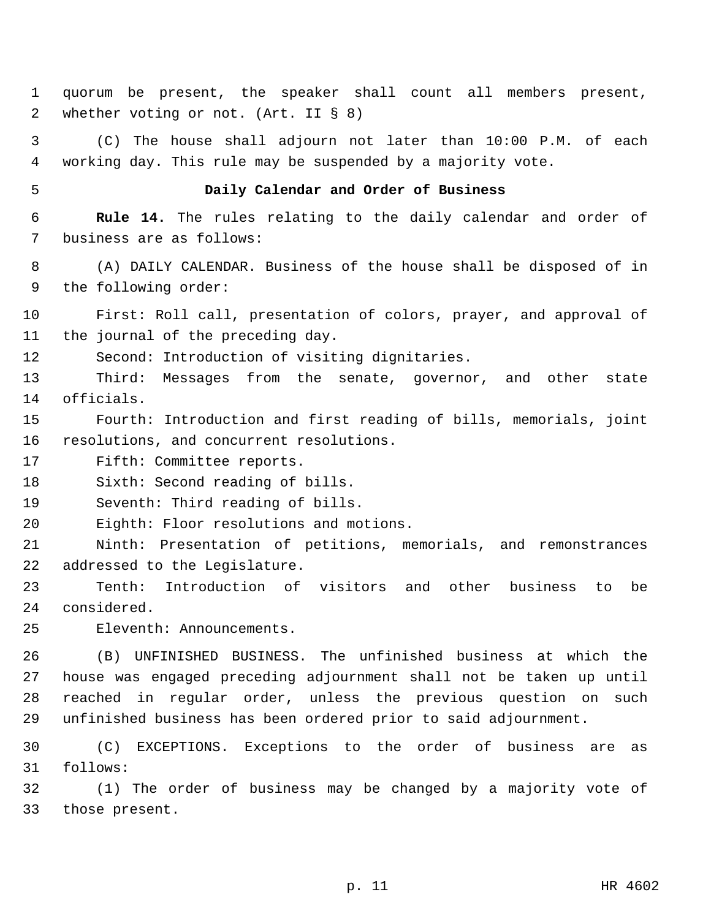1 quorum be present, the speaker shall count all members present, 2 whether voting or not. (Art. II § 8)

3 (C) The house shall adjourn not later than 10:00 P.M. of each 4 working day. This rule may be suspended by a majority vote.

#### 5 **Daily Calendar and Order of Business**

6 **Rule 14.** The rules relating to the daily calendar and order of 7 business are as follows:

8 (A) DAILY CALENDAR. Business of the house shall be disposed of in 9 the following order:

10 First: Roll call, presentation of colors, prayer, and approval of 11 the journal of the preceding day.

12 Second: Introduction of visiting dignitaries.

13 Third: Messages from the senate, governor, and other state 14 officials.

15 Fourth: Introduction and first reading of bills, memorials, joint 16 resolutions, and concurrent resolutions.

17 Fifth: Committee reports.

18 Sixth: Second reading of bills.

19 Seventh: Third reading of bills.

20 Eighth: Floor resolutions and motions.

21 Ninth: Presentation of petitions, memorials, and remonstrances 22 addressed to the Legislature.

23 Tenth: Introduction of visitors and other business to be 24 considered.

Eleventh: Announcements.25

 (B) UNFINISHED BUSINESS. The unfinished business at which the house was engaged preceding adjournment shall not be taken up until reached in regular order, unless the previous question on such unfinished business has been ordered prior to said adjournment.

30 (C) EXCEPTIONS. Exceptions to the order of business are as follows:31

32 (1) The order of business may be changed by a majority vote of 33 those present.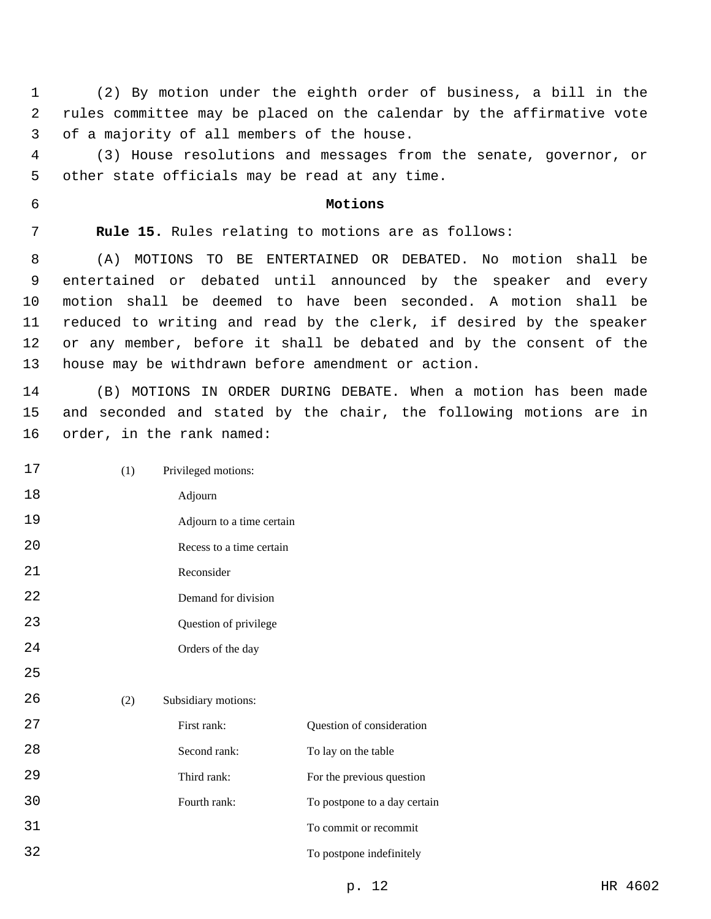(2) By motion under the eighth order of business, a bill in the rules committee may be placed on the calendar by the affirmative vote 3 of a majority of all members of the house.

 (3) House resolutions and messages from the senate, governor, or 5 other state officials may be read at any time.

#### **Motions**

**Rule 15.** Rules relating to motions are as follows:

 (A) MOTIONS TO BE ENTERTAINED OR DEBATED. No motion shall be entertained or debated until announced by the speaker and every motion shall be deemed to have been seconded. A motion shall be reduced to writing and read by the clerk, if desired by the speaker or any member, before it shall be debated and by the consent of the house may be withdrawn before amendment or action.

 (B) MOTIONS IN ORDER DURING DEBATE. When a motion has been made and seconded and stated by the chair, the following motions are in 16 order, in the rank named:

 (1) Privileged motions: Adjourn Adjourn to a time certain Recess to a time certain Reconsider Demand for division Question of privilege Orders of the day (2) Subsidiary motions: First rank: Question of consideration 28 Second rank: To lay on the table 29 Third rank: For the previous question Fourth rank: To postpone to a day certain To commit or recommit

To postpone indefinitely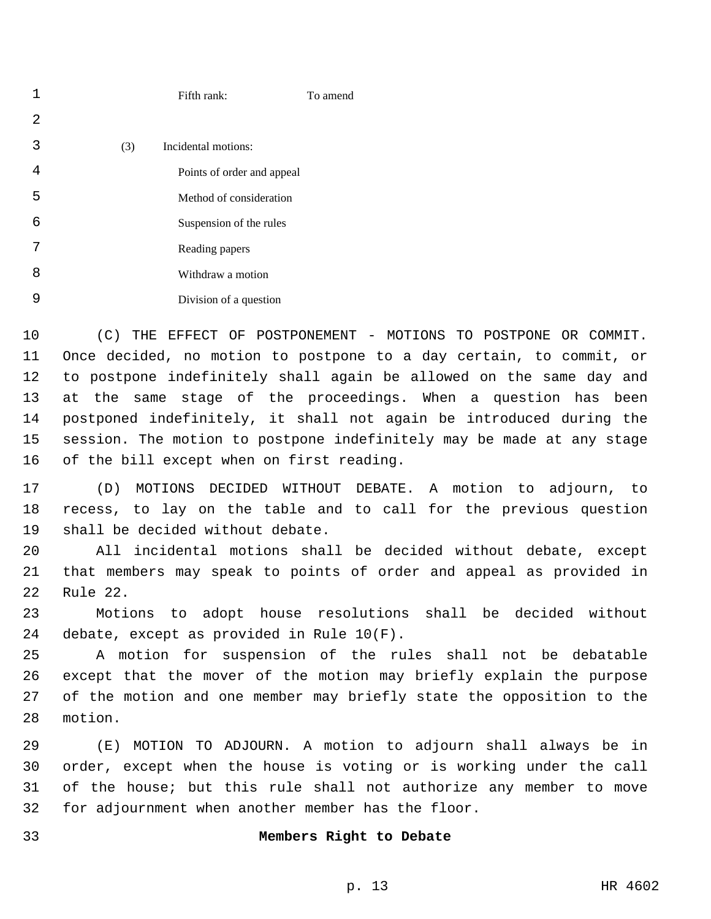|   |     | Fifth rank:                | To amend |
|---|-----|----------------------------|----------|
| 2 |     |                            |          |
| 3 | (3) | Incidental motions:        |          |
| 4 |     | Points of order and appeal |          |
| 5 |     | Method of consideration    |          |
| 6 |     | Suspension of the rules    |          |
| 7 |     | Reading papers             |          |
| 8 |     | Withdraw a motion          |          |
| 9 |     | Division of a question     |          |

 (C) THE EFFECT OF POSTPONEMENT - MOTIONS TO POSTPONE OR COMMIT. Once decided, no motion to postpone to a day certain, to commit, or to postpone indefinitely shall again be allowed on the same day and at the same stage of the proceedings. When a question has been postponed indefinitely, it shall not again be introduced during the session. The motion to postpone indefinitely may be made at any stage 16 of the bill except when on first reading.

 (D) MOTIONS DECIDED WITHOUT DEBATE. A motion to adjourn, to recess, to lay on the table and to call for the previous question 19 shall be decided without debate.

 All incidental motions shall be decided without debate, except that members may speak to points of order and appeal as provided in 22 Rule 22.

 Motions to adopt house resolutions shall be decided without 24 debate, except as provided in Rule  $10(F)$ .

 A motion for suspension of the rules shall not be debatable except that the mover of the motion may briefly explain the purpose of the motion and one member may briefly state the opposition to the 28 motion.

 (E) MOTION TO ADJOURN. A motion to adjourn shall always be in order, except when the house is voting or is working under the call of the house; but this rule shall not authorize any member to move for adjournment when another member has the floor.

#### **Members Right to Debate**

p. 13 HR 4602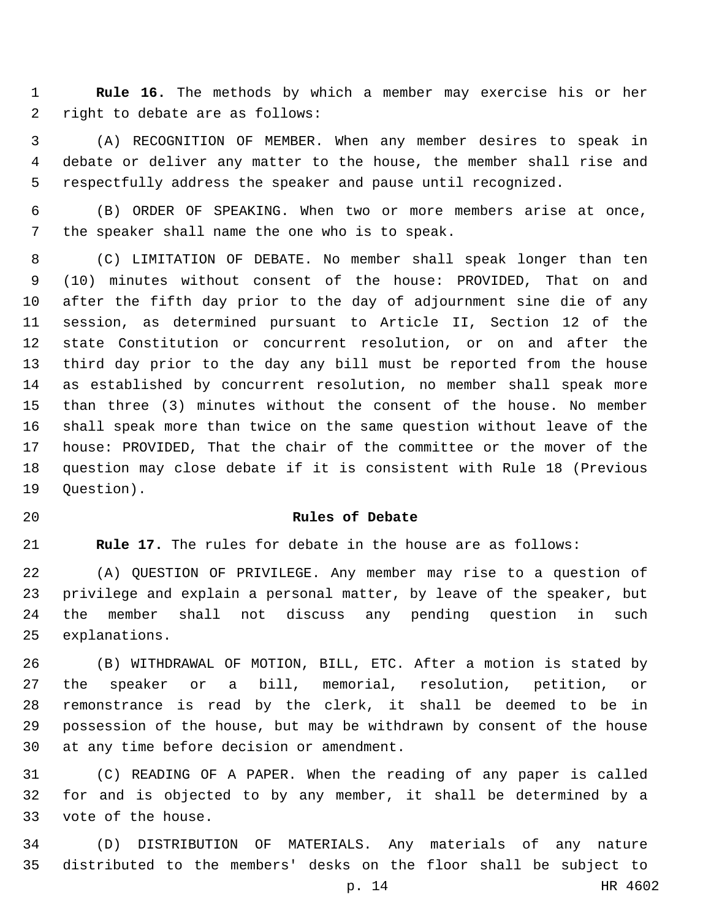**Rule 16.** The methods by which a member may exercise his or her 2 right to debate are as follows:

 (A) RECOGNITION OF MEMBER. When any member desires to speak in debate or deliver any matter to the house, the member shall rise and respectfully address the speaker and pause until recognized.

 (B) ORDER OF SPEAKING. When two or more members arise at once, 7 the speaker shall name the one who is to speak.

 (C) LIMITATION OF DEBATE. No member shall speak longer than ten (10) minutes without consent of the house: PROVIDED, That on and after the fifth day prior to the day of adjournment sine die of any session, as determined pursuant to Article II, Section 12 of the state Constitution or concurrent resolution, or on and after the third day prior to the day any bill must be reported from the house as established by concurrent resolution, no member shall speak more than three (3) minutes without the consent of the house. No member shall speak more than twice on the same question without leave of the house: PROVIDED, That the chair of the committee or the mover of the question may close debate if it is consistent with Rule 18 (Previous 19 Ouestion).

## **Rules of Debate**

**Rule 17.** The rules for debate in the house are as follows:

 (A) QUESTION OF PRIVILEGE. Any member may rise to a question of privilege and explain a personal matter, by leave of the speaker, but the member shall not discuss any pending question in such 25 explanations.

 (B) WITHDRAWAL OF MOTION, BILL, ETC. After a motion is stated by the speaker or a bill, memorial, resolution, petition, or remonstrance is read by the clerk, it shall be deemed to be in possession of the house, but may be withdrawn by consent of the house 30 at any time before decision or amendment.

 (C) READING OF A PAPER. When the reading of any paper is called for and is objected to by any member, it shall be determined by a 33 vote of the house.

 (D) DISTRIBUTION OF MATERIALS. Any materials of any nature distributed to the members' desks on the floor shall be subject to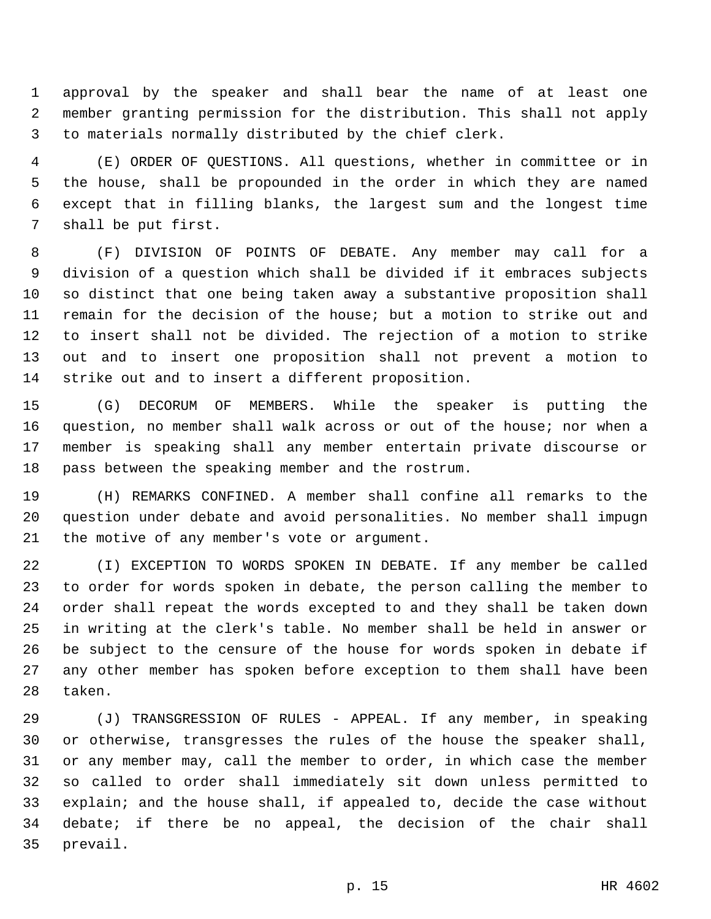approval by the speaker and shall bear the name of at least one member granting permission for the distribution. This shall not apply to materials normally distributed by the chief clerk.

 (E) ORDER OF QUESTIONS. All questions, whether in committee or in the house, shall be propounded in the order in which they are named except that in filling blanks, the largest sum and the longest time 7 shall be put first.

 (F) DIVISION OF POINTS OF DEBATE. Any member may call for a division of a question which shall be divided if it embraces subjects so distinct that one being taken away a substantive proposition shall remain for the decision of the house; but a motion to strike out and to insert shall not be divided. The rejection of a motion to strike out and to insert one proposition shall not prevent a motion to 14 strike out and to insert a different proposition.

 (G) DECORUM OF MEMBERS. While the speaker is putting the question, no member shall walk across or out of the house; nor when a member is speaking shall any member entertain private discourse or 18 pass between the speaking member and the rostrum.

 (H) REMARKS CONFINED. A member shall confine all remarks to the question under debate and avoid personalities. No member shall impugn 21 the motive of any member's vote or argument.

 (I) EXCEPTION TO WORDS SPOKEN IN DEBATE. If any member be called to order for words spoken in debate, the person calling the member to order shall repeat the words excepted to and they shall be taken down in writing at the clerk's table. No member shall be held in answer or be subject to the censure of the house for words spoken in debate if any other member has spoken before exception to them shall have been 28 taken.

 (J) TRANSGRESSION OF RULES - APPEAL. If any member, in speaking or otherwise, transgresses the rules of the house the speaker shall, or any member may, call the member to order, in which case the member so called to order shall immediately sit down unless permitted to explain; and the house shall, if appealed to, decide the case without debate; if there be no appeal, the decision of the chair shall 35 prevail.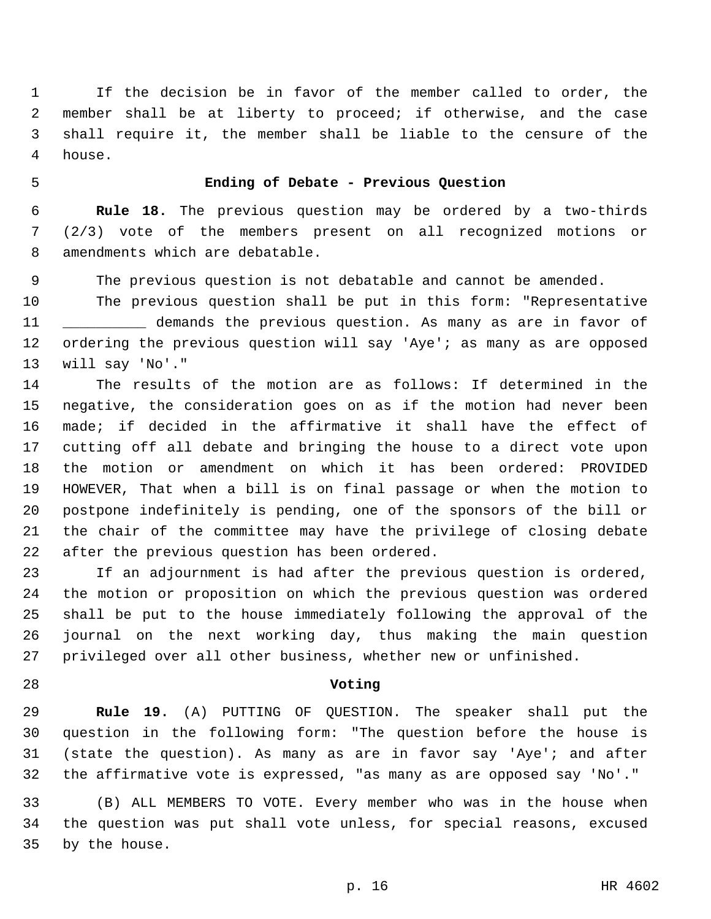If the decision be in favor of the member called to order, the member shall be at liberty to proceed; if otherwise, and the case shall require it, the member shall be liable to the censure of the 4 house.

# **Ending of Debate - Previous Question**

 **Rule 18.** The previous question may be ordered by a two-thirds (2/3) vote of the members present on all recognized motions or 8 amendments which are debatable.

The previous question is not debatable and cannot be amended.

 The previous question shall be put in this form: "Representative \_\_\_\_\_\_\_\_\_\_ demands the previous question. As many as are in favor of 12 ordering the previous question will say 'Aye'; as many as are opposed 13 will say 'No'."

 The results of the motion are as follows: If determined in the negative, the consideration goes on as if the motion had never been made; if decided in the affirmative it shall have the effect of cutting off all debate and bringing the house to a direct vote upon the motion or amendment on which it has been ordered: PROVIDED HOWEVER, That when a bill is on final passage or when the motion to postpone indefinitely is pending, one of the sponsors of the bill or the chair of the committee may have the privilege of closing debate 22 after the previous question has been ordered.

 If an adjournment is had after the previous question is ordered, the motion or proposition on which the previous question was ordered shall be put to the house immediately following the approval of the journal on the next working day, thus making the main question privileged over all other business, whether new or unfinished.

#### **Voting**

 **Rule 19.** (A) PUTTING OF QUESTION. The speaker shall put the question in the following form: "The question before the house is (state the question). As many as are in favor say 'Aye'; and after the affirmative vote is expressed, "as many as are opposed say 'No'."

 (B) ALL MEMBERS TO VOTE. Every member who was in the house when the question was put shall vote unless, for special reasons, excused 35 by the house.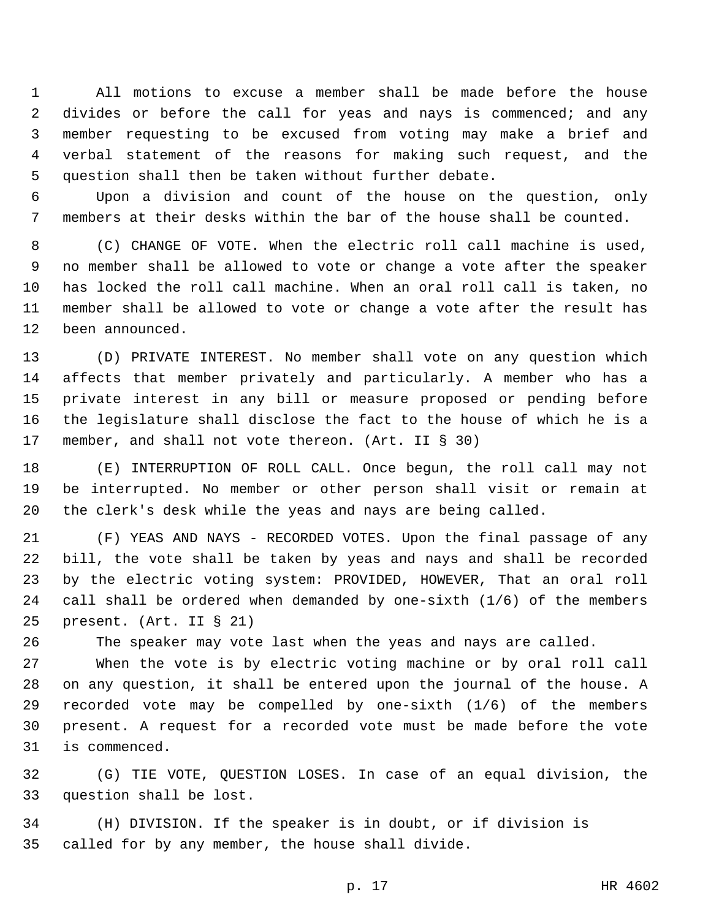All motions to excuse a member shall be made before the house divides or before the call for yeas and nays is commenced; and any member requesting to be excused from voting may make a brief and verbal statement of the reasons for making such request, and the question shall then be taken without further debate.

 Upon a division and count of the house on the question, only members at their desks within the bar of the house shall be counted.

 (C) CHANGE OF VOTE. When the electric roll call machine is used, no member shall be allowed to vote or change a vote after the speaker has locked the roll call machine. When an oral roll call is taken, no member shall be allowed to vote or change a vote after the result has 12 been announced.

 (D) PRIVATE INTEREST. No member shall vote on any question which affects that member privately and particularly. A member who has a private interest in any bill or measure proposed or pending before the legislature shall disclose the fact to the house of which he is a member, and shall not vote thereon. (Art. II § 30)

 (E) INTERRUPTION OF ROLL CALL. Once begun, the roll call may not be interrupted. No member or other person shall visit or remain at the clerk's desk while the yeas and nays are being called.

 (F) YEAS AND NAYS - RECORDED VOTES. Upon the final passage of any bill, the vote shall be taken by yeas and nays and shall be recorded by the electric voting system: PROVIDED, HOWEVER, That an oral roll call shall be ordered when demanded by one-sixth (1/6) of the members 25 present. (Art. II § 21)

The speaker may vote last when the yeas and nays are called.

 When the vote is by electric voting machine or by oral roll call on any question, it shall be entered upon the journal of the house. A recorded vote may be compelled by one-sixth (1/6) of the members present. A request for a recorded vote must be made before the vote 31 is commenced.

 (G) TIE VOTE, QUESTION LOSES. In case of an equal division, the 33 question shall be lost.

 (H) DIVISION. If the speaker is in doubt, or if division is 35 called for by any member, the house shall divide.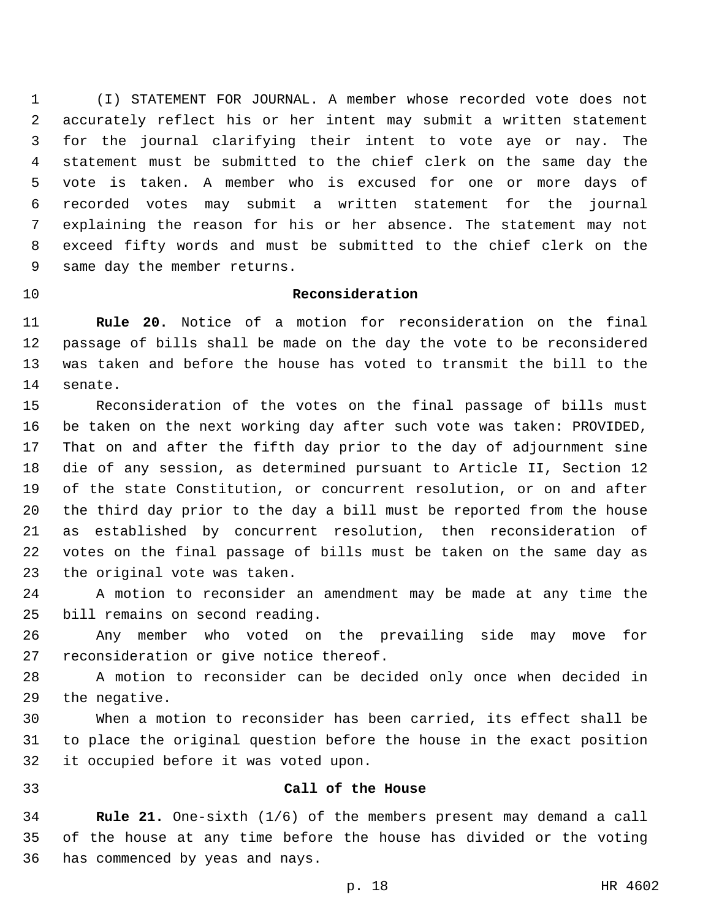(I) STATEMENT FOR JOURNAL. A member whose recorded vote does not accurately reflect his or her intent may submit a written statement for the journal clarifying their intent to vote aye or nay. The statement must be submitted to the chief clerk on the same day the vote is taken. A member who is excused for one or more days of recorded votes may submit a written statement for the journal explaining the reason for his or her absence. The statement may not exceed fifty words and must be submitted to the chief clerk on the 9 same day the member returns.

## **Reconsideration**

 **Rule 20.** Notice of a motion for reconsideration on the final passage of bills shall be made on the day the vote to be reconsidered was taken and before the house has voted to transmit the bill to the 14 senate.

 Reconsideration of the votes on the final passage of bills must be taken on the next working day after such vote was taken: PROVIDED, That on and after the fifth day prior to the day of adjournment sine die of any session, as determined pursuant to Article II, Section 12 of the state Constitution, or concurrent resolution, or on and after the third day prior to the day a bill must be reported from the house as established by concurrent resolution, then reconsideration of votes on the final passage of bills must be taken on the same day as 23 the original vote was taken.

 A motion to reconsider an amendment may be made at any time the 25 bill remains on second reading.

 Any member who voted on the prevailing side may move for 27 reconsideration or give notice thereof.

 A motion to reconsider can be decided only once when decided in 29 the negative.

 When a motion to reconsider has been carried, its effect shall be to place the original question before the house in the exact position 32 it occupied before it was voted upon.

#### **Call of the House**

 **Rule 21.** One-sixth (1/6) of the members present may demand a call of the house at any time before the house has divided or the voting 36 has commenced by yeas and nays.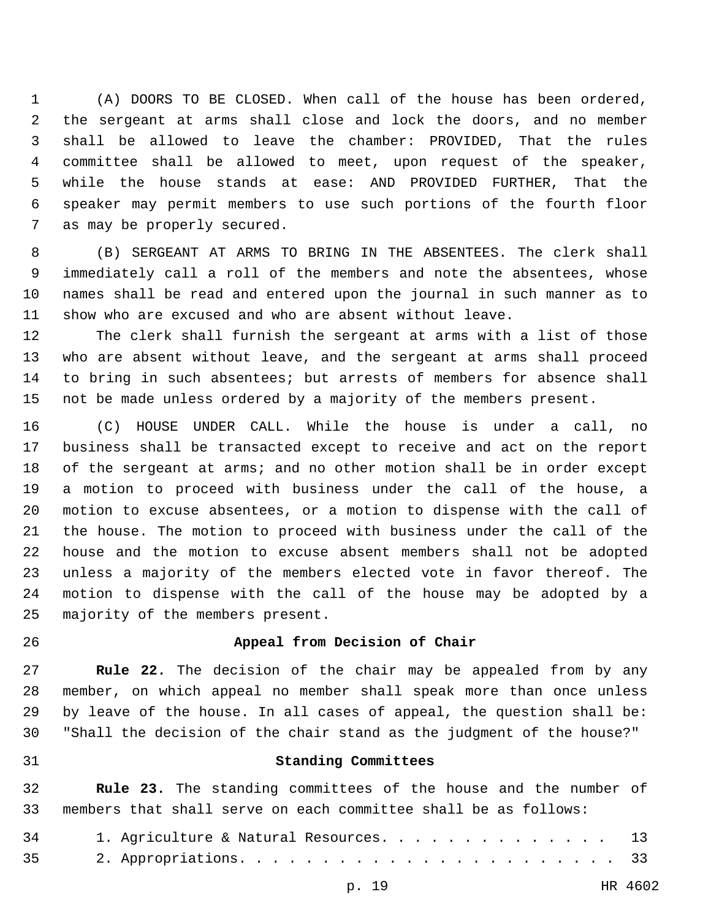(A) DOORS TO BE CLOSED. When call of the house has been ordered, the sergeant at arms shall close and lock the doors, and no member shall be allowed to leave the chamber: PROVIDED, That the rules committee shall be allowed to meet, upon request of the speaker, while the house stands at ease: AND PROVIDED FURTHER, That the speaker may permit members to use such portions of the fourth floor 7 as may be properly secured.

 (B) SERGEANT AT ARMS TO BRING IN THE ABSENTEES. The clerk shall immediately call a roll of the members and note the absentees, whose names shall be read and entered upon the journal in such manner as to show who are excused and who are absent without leave.

 The clerk shall furnish the sergeant at arms with a list of those who are absent without leave, and the sergeant at arms shall proceed to bring in such absentees; but arrests of members for absence shall not be made unless ordered by a majority of the members present.

 (C) HOUSE UNDER CALL. While the house is under a call, no business shall be transacted except to receive and act on the report of the sergeant at arms; and no other motion shall be in order except a motion to proceed with business under the call of the house, a motion to excuse absentees, or a motion to dispense with the call of the house. The motion to proceed with business under the call of the house and the motion to excuse absent members shall not be adopted unless a majority of the members elected vote in favor thereof. The motion to dispense with the call of the house may be adopted by a 25 majority of the members present.

#### **Appeal from Decision of Chair**

 **Rule 22.** The decision of the chair may be appealed from by any member, on which appeal no member shall speak more than once unless by leave of the house. In all cases of appeal, the question shall be: "Shall the decision of the chair stand as the judgment of the house?"

#### **Standing Committees**

 **Rule 23.** The standing committees of the house and the number of members that shall serve on each committee shall be as follows:

| 34 | 1. Agriculture & Natural Resources. 13 |  |
|----|----------------------------------------|--|
|    |                                        |  |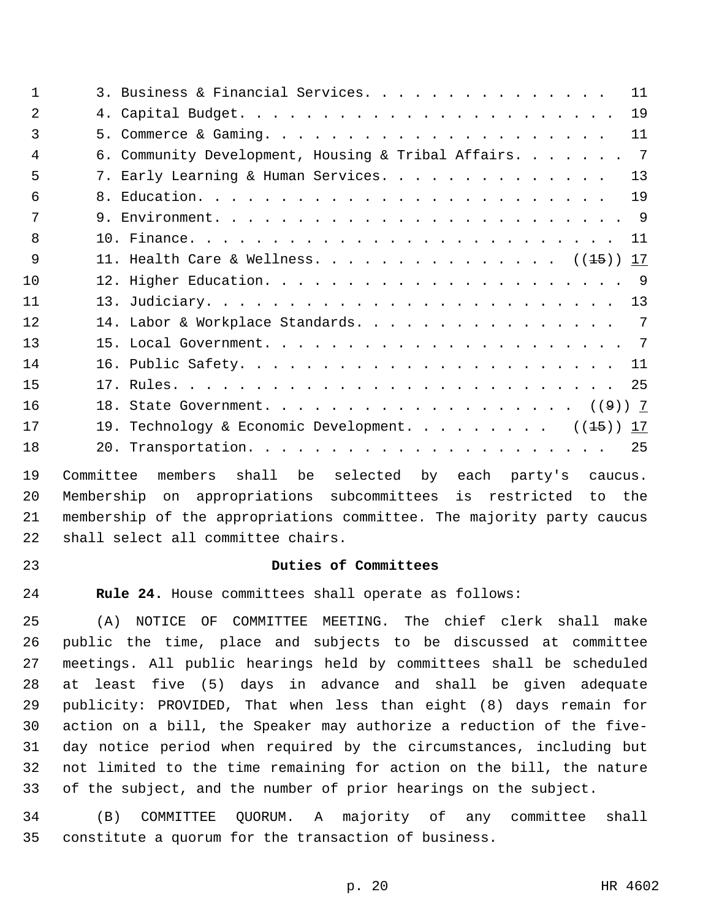| $\mathbf{1}$   | 11<br>3. Business & Financial Services.                               |
|----------------|-----------------------------------------------------------------------|
| $\mathfrak{D}$ | 19                                                                    |
| 3              | 11                                                                    |
| $\overline{4}$ | $\overline{7}$<br>6. Community Development, Housing & Tribal Affairs. |
| 5              | 13<br>7. Early Learning & Human Services.                             |
| 6              | 19                                                                    |
| 7              |                                                                       |
| $\mathsf{R}$   | 11                                                                    |
| 9              | 11. Health Care & Wellness. (( <del>15</del> )) 17                    |
| 10             |                                                                       |
| 11             |                                                                       |
| 12             | 7<br>14. Labor & Workplace Standards.                                 |
| 13             |                                                                       |
| 14             | 11                                                                    |
| 15             | 25                                                                    |
| 16             |                                                                       |
| 17             | 19. Technology & Economic Development. $(1.5)$<br>17                  |
| 18             | 25                                                                    |

 Committee members shall be selected by each party's caucus. Membership on appropriations subcommittees is restricted to the membership of the appropriations committee. The majority party caucus 22 shall select all committee chairs.

# **Duties of Committees**

**Rule 24.** House committees shall operate as follows:

 (A) NOTICE OF COMMITTEE MEETING. The chief clerk shall make public the time, place and subjects to be discussed at committee meetings. All public hearings held by committees shall be scheduled at least five (5) days in advance and shall be given adequate publicity: PROVIDED, That when less than eight (8) days remain for action on a bill, the Speaker may authorize a reduction of the five- day notice period when required by the circumstances, including but not limited to the time remaining for action on the bill, the nature of the subject, and the number of prior hearings on the subject.

 (B) COMMITTEE QUORUM. A majority of any committee shall constitute a quorum for the transaction of business.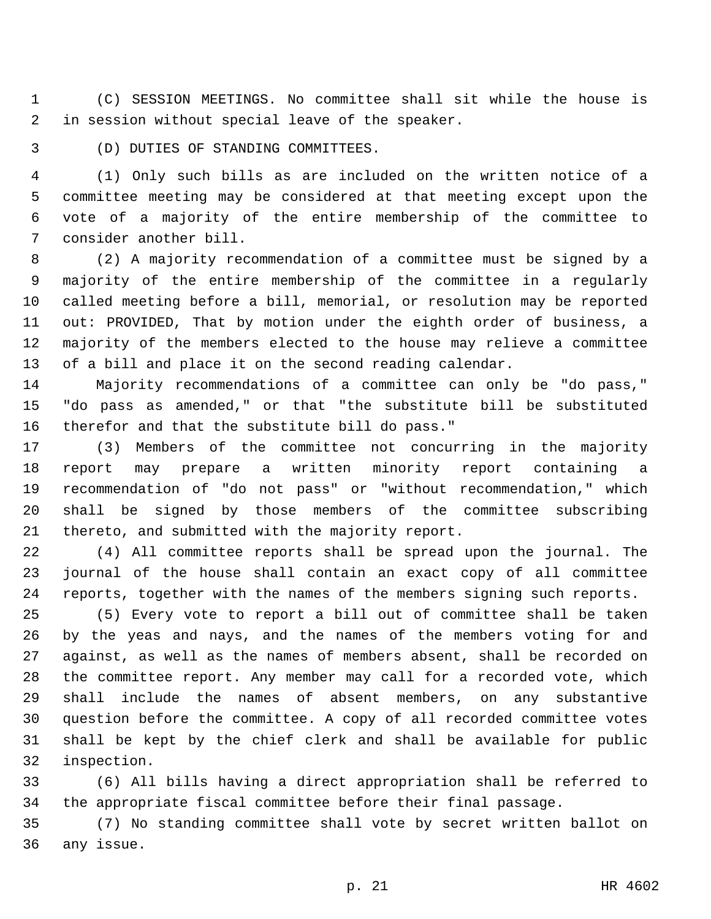(C) SESSION MEETINGS. No committee shall sit while the house is 2 in session without special leave of the speaker.

3 (D) DUTIES OF STANDING COMMITTEES.

 (1) Only such bills as are included on the written notice of a committee meeting may be considered at that meeting except upon the vote of a majority of the entire membership of the committee to 7 consider another bill.

 (2) A majority recommendation of a committee must be signed by a majority of the entire membership of the committee in a regularly called meeting before a bill, memorial, or resolution may be reported out: PROVIDED, That by motion under the eighth order of business, a majority of the members elected to the house may relieve a committee of a bill and place it on the second reading calendar.

 Majority recommendations of a committee can only be "do pass," "do pass as amended," or that "the substitute bill be substituted 16 therefor and that the substitute bill do pass."

 (3) Members of the committee not concurring in the majority report may prepare a written minority report containing a recommendation of "do not pass" or "without recommendation," which shall be signed by those members of the committee subscribing 21 thereto, and submitted with the majority report.

 (4) All committee reports shall be spread upon the journal. The journal of the house shall contain an exact copy of all committee reports, together with the names of the members signing such reports.

 (5) Every vote to report a bill out of committee shall be taken by the yeas and nays, and the names of the members voting for and against, as well as the names of members absent, shall be recorded on the committee report. Any member may call for a recorded vote, which shall include the names of absent members, on any substantive question before the committee. A copy of all recorded committee votes shall be kept by the chief clerk and shall be available for public 32 inspection.

 (6) All bills having a direct appropriation shall be referred to the appropriate fiscal committee before their final passage.

 (7) No standing committee shall vote by secret written ballot on 36 any issue.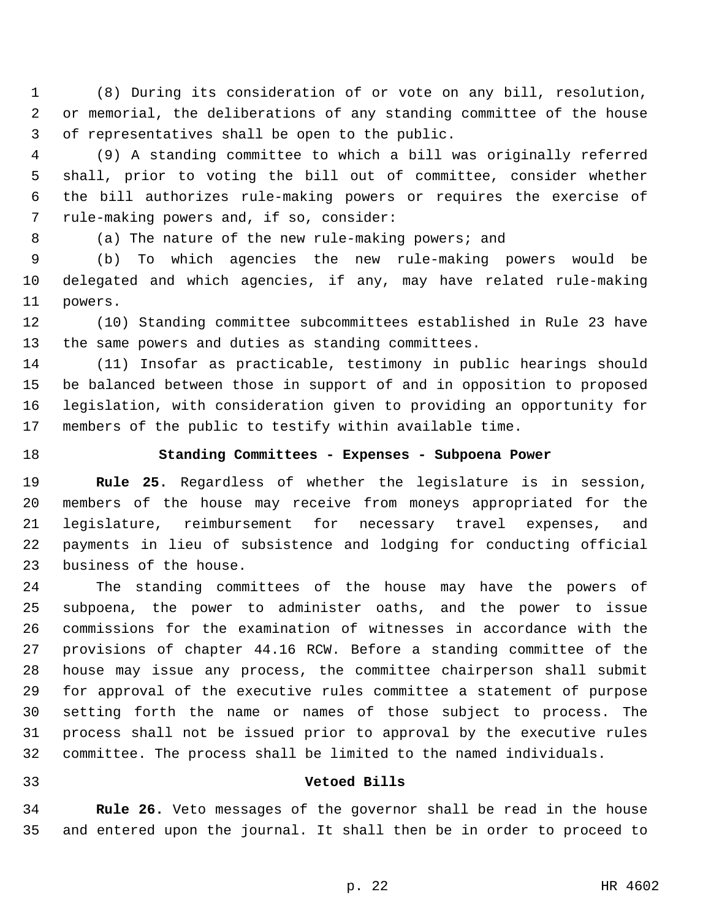(8) During its consideration of or vote on any bill, resolution, or memorial, the deliberations of any standing committee of the house 3 of representatives shall be open to the public.

 (9) A standing committee to which a bill was originally referred shall, prior to voting the bill out of committee, consider whether the bill authorizes rule-making powers or requires the exercise of 7 rule-making powers and, if so, consider:

(a) The nature of the new rule-making powers; and

 (b) To which agencies the new rule-making powers would be delegated and which agencies, if any, may have related rule-making 11 powers.

 (10) Standing committee subcommittees established in Rule 23 have the same powers and duties as standing committees.

 (11) Insofar as practicable, testimony in public hearings should be balanced between those in support of and in opposition to proposed legislation, with consideration given to providing an opportunity for members of the public to testify within available time.

# **Standing Committees - Expenses - Subpoena Power**

 **Rule 25.** Regardless of whether the legislature is in session, members of the house may receive from moneys appropriated for the legislature, reimbursement for necessary travel expenses, and payments in lieu of subsistence and lodging for conducting official 23 business of the house.

 The standing committees of the house may have the powers of subpoena, the power to administer oaths, and the power to issue commissions for the examination of witnesses in accordance with the provisions of chapter 44.16 RCW. Before a standing committee of the house may issue any process, the committee chairperson shall submit for approval of the executive rules committee a statement of purpose setting forth the name or names of those subject to process. The process shall not be issued prior to approval by the executive rules committee. The process shall be limited to the named individuals.

#### **Vetoed Bills**

 **Rule 26.** Veto messages of the governor shall be read in the house and entered upon the journal. It shall then be in order to proceed to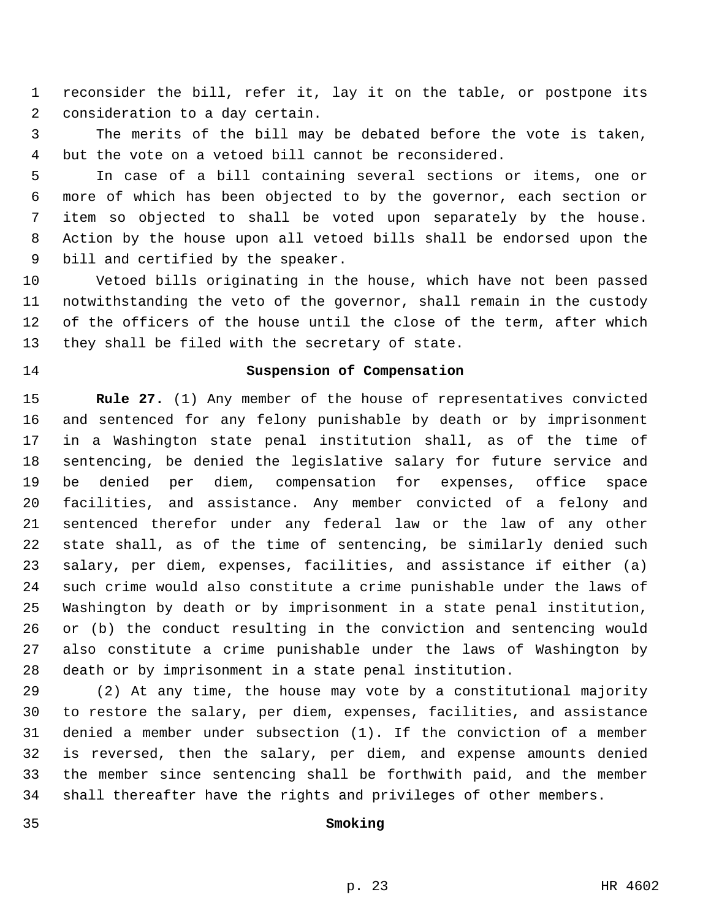reconsider the bill, refer it, lay it on the table, or postpone its 2 consideration to a day certain.

 The merits of the bill may be debated before the vote is taken, but the vote on a vetoed bill cannot be reconsidered.

 In case of a bill containing several sections or items, one or more of which has been objected to by the governor, each section or item so objected to shall be voted upon separately by the house. Action by the house upon all vetoed bills shall be endorsed upon the 9 bill and certified by the speaker.

 Vetoed bills originating in the house, which have not been passed notwithstanding the veto of the governor, shall remain in the custody of the officers of the house until the close of the term, after which 13 they shall be filed with the secretary of state.

## **Suspension of Compensation**

 **Rule 27.** (1) Any member of the house of representatives convicted and sentenced for any felony punishable by death or by imprisonment in a Washington state penal institution shall, as of the time of sentencing, be denied the legislative salary for future service and be denied per diem, compensation for expenses, office space facilities, and assistance. Any member convicted of a felony and sentenced therefor under any federal law or the law of any other state shall, as of the time of sentencing, be similarly denied such salary, per diem, expenses, facilities, and assistance if either (a) such crime would also constitute a crime punishable under the laws of Washington by death or by imprisonment in a state penal institution, or (b) the conduct resulting in the conviction and sentencing would also constitute a crime punishable under the laws of Washington by death or by imprisonment in a state penal institution.

 (2) At any time, the house may vote by a constitutional majority to restore the salary, per diem, expenses, facilities, and assistance denied a member under subsection (1). If the conviction of a member is reversed, then the salary, per diem, and expense amounts denied the member since sentencing shall be forthwith paid, and the member shall thereafter have the rights and privileges of other members.

# **Smoking**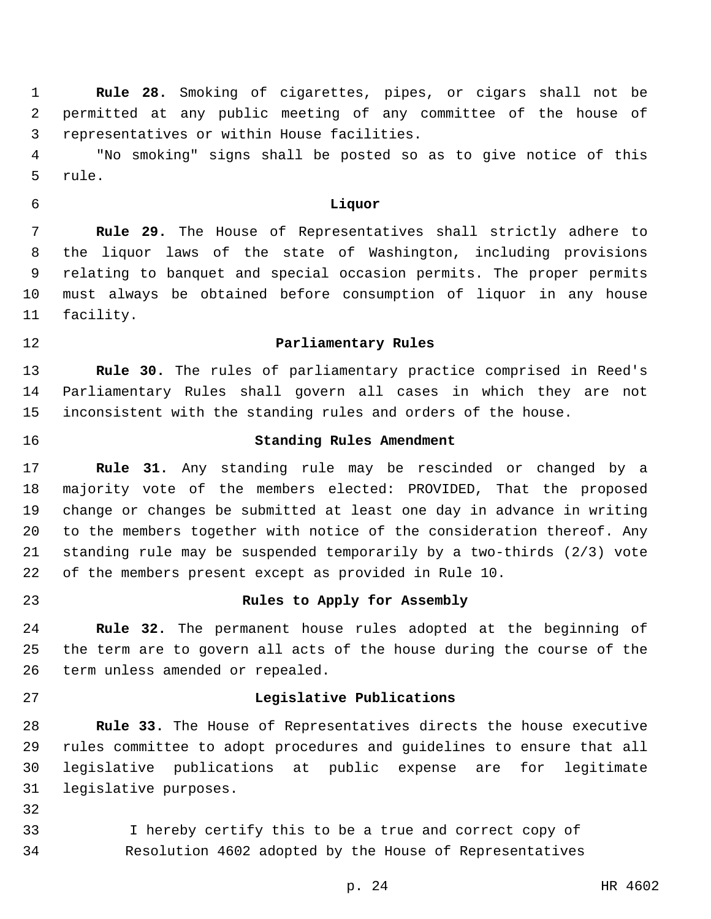**Rule 28.** Smoking of cigarettes, pipes, or cigars shall not be permitted at any public meeting of any committee of the house of 3 representatives or within House facilities.

 "No smoking" signs shall be posted so as to give notice of this rule.

**Liquor**

 **Rule 29.** The House of Representatives shall strictly adhere to the liquor laws of the state of Washington, including provisions relating to banquet and special occasion permits. The proper permits must always be obtained before consumption of liquor in any house 11 facility.

## **Parliamentary Rules**

 **Rule 30.** The rules of parliamentary practice comprised in Reed's Parliamentary Rules shall govern all cases in which they are not inconsistent with the standing rules and orders of the house.

# **Standing Rules Amendment**

 **Rule 31.** Any standing rule may be rescinded or changed by a majority vote of the members elected: PROVIDED, That the proposed change or changes be submitted at least one day in advance in writing to the members together with notice of the consideration thereof. Any standing rule may be suspended temporarily by a two-thirds (2/3) vote of the members present except as provided in Rule 10.

# **Rules to Apply for Assembly**

 **Rule 32.** The permanent house rules adopted at the beginning of the term are to govern all acts of the house during the course of the 26 term unless amended or repealed.

#### **Legislative Publications**

 **Rule 33.** The House of Representatives directs the house executive rules committee to adopt procedures and guidelines to ensure that all legislative publications at public expense are for legitimate 31 legislative purposes.

 I hereby certify this to be a true and correct copy of Resolution 4602 adopted by the House of Representatives